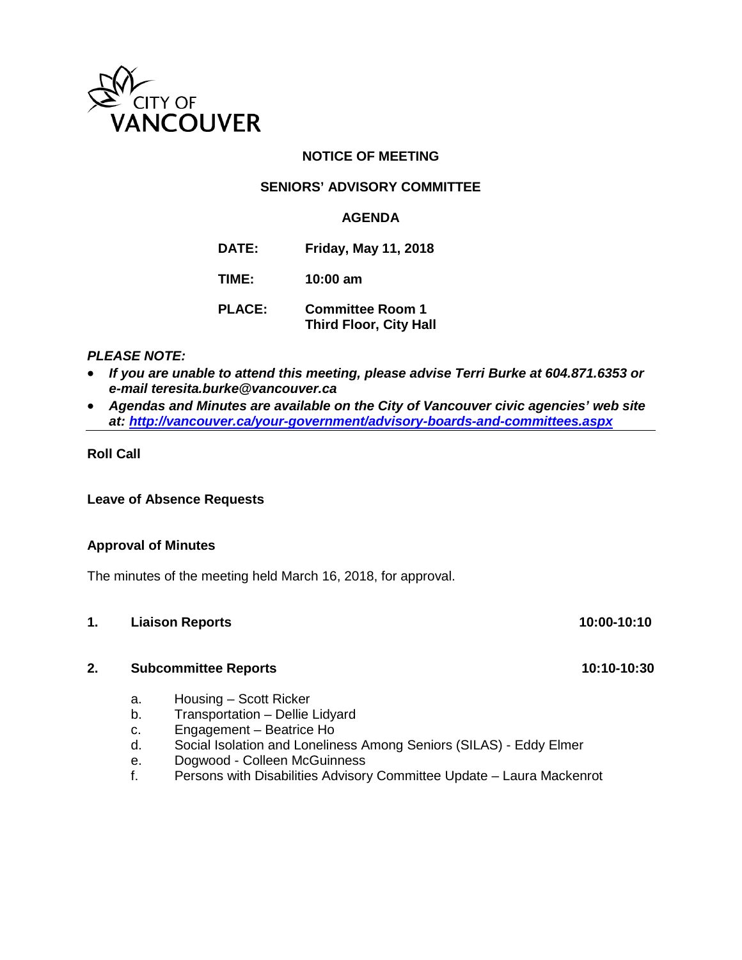

## **NOTICE OF MEETING**

## **SENIORS' ADVISORY COMMITTEE**

## **AGENDA**

**DATE: Friday, May 11, 2018**

**TIME: 10:00 am**

**PLACE: Committee Room 1 Third Floor, City Hall**

## *PLEASE NOTE:*

- *If you are unable to attend this meeting, please advise Terri Burke at 604.871.6353 or e-mail teresita.burke@vancouver.ca*
- *Agendas and Minutes are available on the City of Vancouver civic agencies' web site at:<http://vancouver.ca/your-government/advisory-boards-and-committees.aspx>*

## **Roll Call**

**Leave of Absence Requests**

### **Approval of Minutes**

The minutes of the meeting held March 16, 2018, for approval.

## **1. Liaison Reports 10:00-10:10**

## **2. Subcommittee Reports 10:10-10:30**

- a. Housing Scott Ricker
- b. Transportation Dellie Lidyard
- c. Engagement Beatrice Ho
- d. Social Isolation and Loneliness Among Seniors (SILAS) Eddy Elmer
- e. Dogwood Colleen McGuinness
- f. Persons with Disabilities Advisory Committee Update Laura Mackenrot